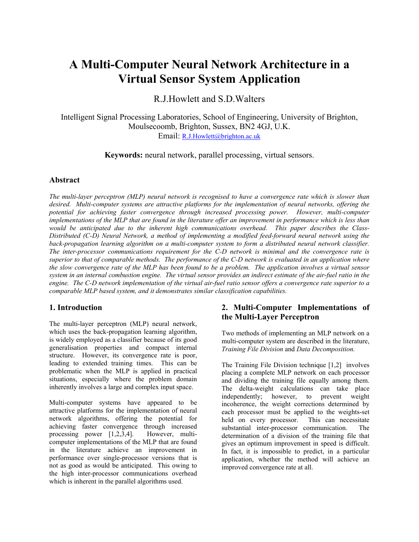# **A Multi-Computer Neural Network Architecture in a Virtual Sensor System Application**

R.J.Howlett and S.D.Walters

Intelligent Signal Processing Laboratories, School of Engineering, University of Brighton, Moulsecoomb, Brighton, Sussex, BN2 4GJ, U.K. Email: [R.J.Howlett@brighton.ac.uk](mailto:R.J.Howlett@brighton.ac.uk)

**Keywords:** neural network, parallel processing, virtual sensors.

## **Abstract**

*The multi-layer perceptron (MLP) neural network is recognised to have a convergence rate which is slower than desired. Multi-computer systems are attractive platforms for the implementation of neural networks, offering the potential for achieving faster convergence through increased processing power. However, multi-computer implementations of the MLP that are found in the literature offer an improvement in performance which is less than would be anticipated due to the inherent high communications overhead. This paper describes the Class-Distributed (C-D) Neural Network, a method of implementing a modified feed-forward neural network using the back-propagation learning algorithm on a multi-computer system to form a distributed neural network classifier. The inter-processor communications requirement for the C-D network is minimal and the convergence rate is superior to that of comparable methods. The performance of the C-D network is evaluated in an application where the slow convergence rate of the MLP has been found to be a problem. The application involves a virtual sensor system in an internal combustion engine. The virtual sensor provides an indirect estimate of the air-fuel ratio in the engine. The C-D network implementation of the virtual air-fuel ratio sensor offers a convergence rate superior to a comparable MLP based system, and it demonstrates similar classification capabilities.*

# **1. Introduction**

The multi-layer perceptron (MLP) neural network, which uses the back-propagation learning algorithm, is widely employed as a classifier because of its good generalisation properties and compact internal structure. However, its convergence rate is poor, leading to extended training times. This can be problematic when the MLP is applied in practical situations, especially where the problem domain inherently involves a large and complex input space.

Multi-computer systems have appeared to be attractive platforms for the implementation of neural network algorithms, offering the potential for achieving faster convergence through increased processing power [1,2,3,4]. However, multicomputer implementations of the MLP that are found in the literature achieve an improvement in performance over single-processor versions that is not as good as would be anticipated. This owing to the high inter-processor communications overhead which is inherent in the parallel algorithms used.

# **2. Multi-Computer Implementations of the Multi-Layer Perceptron**

Two methods of implementing an MLP network on a multi-computer system are described in the literature, *Training File Division* and *Data Decomposition.*

The Training File Division technique [1,2] involves placing a complete MLP network on each processor and dividing the training file equally among them. The delta-weight calculations can take place independently; however, to prevent weight incoherence, the weight corrections determined by each processor must be applied to the weights-set held on every processor. This can necessitate substantial inter-processor communication. The determination of a division of the training file that gives an optimum improvement in speed is difficult. In fact, it is impossible to predict, in a particular application, whether the method will achieve an improved convergence rate at all.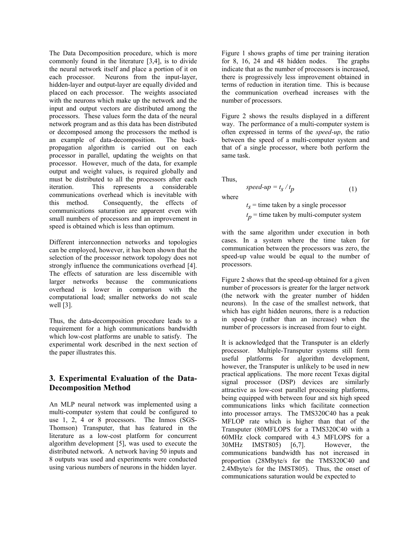The Data Decomposition procedure, which is more commonly found in the literature [3,4], is to divide the neural network itself and place a portion of it on each processor. Neurons from the input-layer, hidden-layer and output-layer are equally divided and placed on each processor. The weights associated with the neurons which make up the network and the input and output vectors are distributed among the processors. These values form the data of the neural network program and as this data has been distributed or decomposed among the processors the method is an example of data-decomposition. The backpropagation algorithm is carried out on each processor in parallel, updating the weights on that processor. However, much of the data, for example output and weight values, is required globally and must be distributed to all the processors after each iteration. This represents a considerable communications overhead which is inevitable with this method. Consequently, the effects of communications saturation are apparent even with small numbers of processors and an improvement in speed is obtained which is less than optimum.

Different interconnection networks and topologies can be employed, however, it has been shown that the selection of the processor network topology does not strongly influence the communications overhead [4]. The effects of saturation are less discernible with larger networks because the communications overhead is lower in comparison with the computational load; smaller networks do not scale well [3].

Thus, the data-decomposition procedure leads to a requirement for a high communications bandwidth which low-cost platforms are unable to satisfy. The experimental work described in the next section of the paper illustrates this.

# **3. Experimental Evaluation of the Data-Decomposition Method**

An MLP neural network was implemented using a multi-computer system that could be configured to use 1, 2, 4 or 8 processors. The Inmos (SGS-Thomson) Transputer, that has featured in the literature as a low-cost platform for concurrent algorithm development [5], was used to execute the distributed network. A network having 50 inputs and 8 outputs was used and experiments were conducted using various numbers of neurons in the hidden layer. Figure 1 shows graphs of time per training iteration for 8, 16, 24 and 48 hidden nodes. The graphs indicate that as the number of processors is increased, there is progressively less improvement obtained in terms of reduction in iteration time. This is because the communication overhead increases with the number of processors.

Figure 2 shows the results displayed in a different way. The performance of a multi-computer system is often expressed in terms of the *speed-up*, the ratio between the speed of a multi-computer system and that of a single processor, where both perform the same task.

Thus,

where

 $t_s$  = time taken by a single processor  $t_p$  = time taken by multi-computer system

*speed-up* =  $t_s / t_p$  (1)

with the same algorithm under execution in both cases. In a system where the time taken for communication between the processors was zero, the speed-up value would be equal to the number of processors.

Figure 2 shows that the speed-up obtained for a given number of processors is greater for the larger network (the network with the greater number of hidden neurons). In the case of the smallest network, that which has eight hidden neurons, there is a reduction in speed-up (rather than an increase) when the number of processors is increased from four to eight.

It is acknowledged that the Transputer is an elderly processor. Multiple-Transputer systems still form useful platforms for algorithm development, however, the Transputer is unlikely to be used in new practical applications. The more recent Texas digital signal processor (DSP) devices are similarly attractive as low-cost parallel processing platforms, being equipped with between four and six high speed communications links which facilitate connection into processor arrays. The TMS320C40 has a peak MFLOP rate which is higher than that of the Transputer (80MFLOPS for a TMS320C40 with a 60MHz clock compared with 4.3 MFLOPS for a 30MHz IMST805) [6,7]. However, the communications bandwidth has not increased in proportion (28Mbyte/s for the TMS320C40 and 2.4Mbyte/s for the IMST805). Thus, the onset of communications saturation would be expected to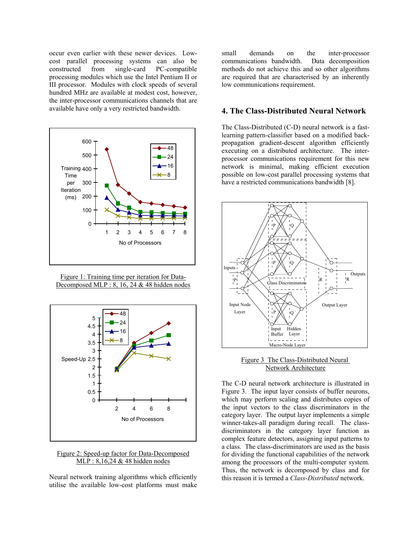occur even earlier with these newer devices. Lowcost parallel processing systems can also be constructed from single-card PC-compatible processing modules which use the Intel Pentium II or III processor. Modules with clock speeds of several hundred MHz are available at modest cost, however, the inter-processor communications channels that are available have only a very restricted bandwidth.



Figure 1: Training time per iteration for Data-Decomposed MLP : 8, 16, 24  $&$  48 hidden nodes



Figure 2: Speed-up factor for Data-Decomposed MLP : 8,16,24 & 48 hidden nodes

Neural network training algorithms which efficiently utilise the available low-cost platforms must make small demands on the inter-processor communications bandwidth. Data decomposition methods do not achieve this and so other algorithms are required that are characterised by an inherently low communications requirement.

## **4. The Class-Distributed Neural Network**

The Class-Distributed (C-D) neural network is a fastlearning pattern-classifier based on a modified backpropagation gradient-descent algorithm efficiently executing on a distributed architecture. The interprocessor communications requirement for this new network is minimal, making efficient execution possible on low-cost parallel processing systems that have a restricted communications bandwidth [8].



Figure 3 The Class-Distributed Neural Network Architecture

The C-D neural network architecture is illustrated in Figure 3. The input layer consists of buffer neurons, which may perform scaling and distributes copies of the input vectors to the class discriminators in the category layer. The output layer implements a simple winner-takes-all paradigm during recall. The classdiscriminators in the category layer function as complex feature detectors, assigning input patterns to a class. The class-discriminators are used as the basis for dividing the functional capabilities of the network among the processors of the multi-computer system. Thus, the network is decomposed by class and for this reason it is termed a *Class-Distributed* network.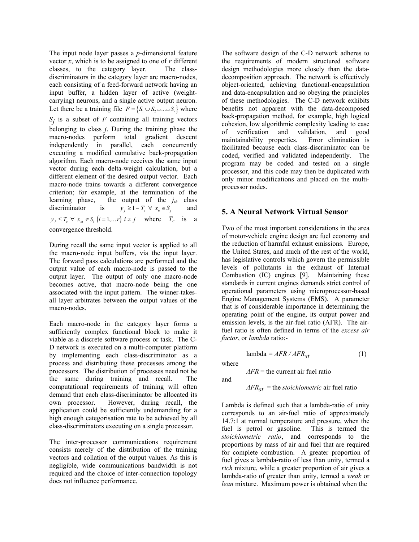The input node layer passes a *p*-dimensional feature vector *x*, which is to be assigned to one of *r* different classes, to the category layer. The classdiscriminators in the category layer are macro-nodes, each consisting of a feed-forward network having an input buffer, a hidden layer of active (weightcarrying) neurons, and a single active output neuron. Let there be a training file  $F = \{S_1 \cup S_2 \cup ... \cup S_r\}$  where  $S_j$  is a subset of *F* containing all training vectors belonging to class *j*. During the training phase the macro-nodes perform total gradient descent independently in parallel, each concurrently executing a modified cumulative back-propagation algorithm. Each macro-node receives the same input vector during each delta-weight calculation, but a different element of the desired output vector. Each macro-node trains towards a different convergence criterion; for example, at the termination of the learning phase, the output of the  $j_{th}$  class discriminator is  $y_i \geq 1 - T_c \forall x_n \in S_i$  and  $y_i \leq T_c \ \forall \ x_m \in S_i \ (i = 1, \dots r) \ i \neq j \ \text{where} \quad T_c \ \text{is} \ a$ convergence threshold.

During recall the same input vector is applied to all the macro-node input buffers, via the input layer. The forward pass calculations are performed and the output value of each macro-node is passed to the output layer. The output of only one macro-node becomes active, that macro-node being the one associated with the input pattern. The winner-takesall layer arbitrates between the output values of the macro-nodes.

Each macro-node in the category layer forms a sufficiently complex functional block to make it viable as a discrete software process or task. The C-D network is executed on a multi-computer platform by implementing each class-discriminator as a process and distributing these processes among the processors. The distribution of processes need not be the same during training and recall. The computational requirements of training will often demand that each class-discriminator be allocated its own processor. However, during recall, the application could be sufficiently undemanding for a high enough categorisation rate to be achieved by all class-discriminators executing on a single processor.

The inter-processor communications requirement consists merely of the distribution of the training vectors and collation of the output values. As this is negligible, wide communications bandwidth is not required and the choice of inter-connection topology does not influence performance.

The software design of the C-D network adheres to the requirements of modern structured software design methodologies more closely than the datadecomposition approach. The network is effectively object-oriented, achieving functional-encapsulation and data-encapsulation and so obeying the principles of these methodologies. The C-D network exhibits benefits not apparent with the data-decomposed back-propagation method, for example, high logical cohesion, low algorithmic complexity leading to ease of verification and validation, and good maintainability properties. facilitated because each class-discriminator can be coded, verified and validated independently. The program may be coded and tested on a single processor, and this code may then be duplicated with only minor modifications and placed on the multiprocessor nodes.

# **5. A Neural Network Virtual Sensor**

Two of the most important considerations in the area of motor-vehicle engine design are fuel economy and the reduction of harmful exhaust emissions. Europe, the United States, and much of the rest of the world, has legislative controls which govern the permissible levels of pollutants in the exhaust of Internal Combustion (IC) engines [9]. Maintaining these standards in current engines demands strict control of operational parameters using microprocessor-based Engine Management Systems (EMS). A parameter that is of considerable importance in determining the operating point of the engine, its output power and emission levels, is the air-fuel ratio (AFR). The airfuel ratio is often defined in terms of the *excess air factor*, or *lambda* ratio:-

$$
lambda = AFR / AFR_{st}
$$
 (1)

where and

*AFR* = the current air fuel ratio

$$
AFR_{st} =
$$
the *stoichiometric* air fuel ratio

Lambda is defined such that a lambda-ratio of unity corresponds to an air-fuel ratio of approximately 14.7:1 at normal temperature and pressure, when the fuel is petrol or gasoline. This is termed the fuel is petrol or gasoline. *stoichiometric ratio*, and corresponds to the proportions by mass of air and fuel that are required for complete combustion. A greater proportion of fuel gives a lambda-ratio of less than unity, termed a *rich* mixture, while a greater proportion of air gives a lambda-ratio of greater than unity, termed a *weak* or *lean* mixture. Maximum power is obtained when the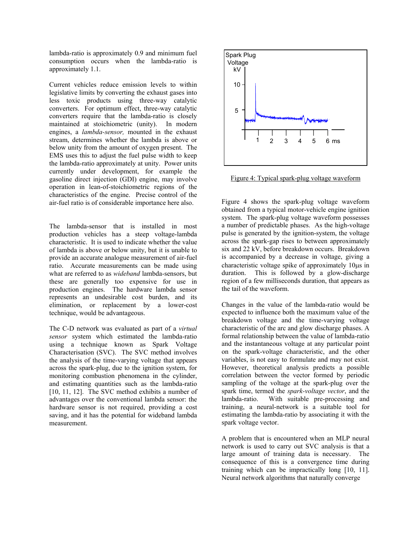lambda-ratio is approximately 0.9 and minimum fuel consumption occurs when the lambda-ratio is approximately 1.1.

Current vehicles reduce emission levels to within legislative limits by converting the exhaust gases into less toxic products using three-way catalytic converters. For optimum effect, three-way catalytic converters require that the lambda-ratio is closely maintained at stoichiometric (unity).In modern engines, a *lambda-sensor,* mounted in the exhaust stream, determines whether the lambda is above or below unity from the amount of oxygen present. The EMS uses this to adjust the fuel pulse width to keep the lambda-ratio approximately at unity. Power units currently under development, for example the gasoline direct injection (GDI) engine, may involve operation in lean-of-stoichiometric regions of the characteristics of the engine. Precise control of the air-fuel ratio is of considerable importance here also.

The lambda-sensor that is installed in most production vehicles has a steep voltage-lambda characteristic. It is used to indicate whether the value of lambda is above or below unity, but it is unable to provide an accurate analogue measurement of air-fuel ratio. Accurate measurements can be made using what are referred to as *wideband* lambda-sensors, but these are generally too expensive for use in production engines. The hardware lambda sensor represents an undesirable cost burden, and its elimination, or replacement by a lower-cost technique, would be advantageous.

The C-D network was evaluated as part of a *virtual sensor* system which estimated the lambda-ratio using a technique known as Spark Voltage Characterisation (SVC). The SVC method involves the analysis of the time-varying voltage that appears across the spark-plug, due to the ignition system, for monitoring combustion phenomena in the cylinder, and estimating quantities such as the lambda-ratio [10, 11, 12]. The SVC method exhibits a number of advantages over the conventional lambda sensor: the hardware sensor is not required, providing a cost saving, and it has the potential for wideband lambda measurement.



Figure 4: Typical spark-plug voltage waveform

Figure 4 shows the spark-plug voltage waveform obtained from a typical motor-vehicle engine ignition system. The spark-plug voltage waveform possesses a number of predictable phases. As the high-voltage pulse is generated by the ignition-system, the voltage across the spark-gap rises to between approximately six and 22 kV, before breakdown occurs. Breakdown is accompanied by a decrease in voltage, giving a characteristic voltage spike of approximately 10µs in duration. This is followed by a glow-discharge region of a few milliseconds duration, that appears as the tail of the waveform.

Changes in the value of the lambda-ratio would be expected to influence both the maximum value of the breakdown voltage and the time-varying voltage characteristic of the arc and glow discharge phases. A formal relationship between the value of lambda-ratio and the instantaneous voltage at any particular point on the spark-voltage characteristic, and the other variables, is not easy to formulate and may not exist. However, theoretical analysis predicts a possible correlation between the vector formed by periodic sampling of the voltage at the spark-plug over the spark time, termed the *spark-voltage vector*, and the lambda-ratio. With suitable pre-processing and training, a neural-network is a suitable tool for estimating the lambda-ratio by associating it with the spark voltage vector.

A problem that is encountered when an MLP neural network is used to carry out SVC analysis is that a large amount of training data is necessary. The consequence of this is a convergence time during training which can be impractically long [10, 11]. Neural network algorithms that naturally converge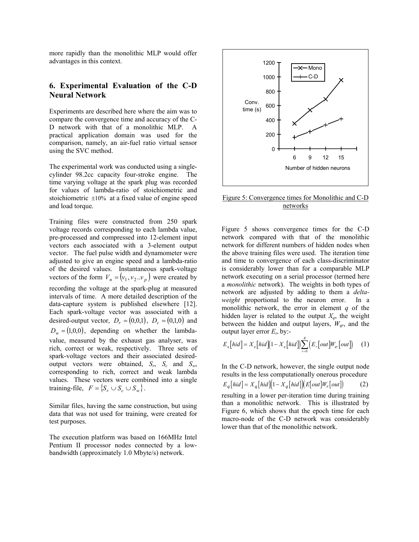more rapidly than the monolithic MLP would offer advantages in this context.

# **6. Experimental Evaluation of the C-D Neural Network**

Experiments are described here where the aim was to compare the convergence time and accuracy of the C-D network with that of a monolithic MLP. A practical application domain was used for the comparison, namely, an air-fuel ratio virtual sensor using the SVC method.

The experimental work was conducted using a singlecylinder 98.2cc capacity four-stroke engine. The time varying voltage at the spark plug was recorded for values of lambda-ratio of stoichiometric and stoichiometric ±10% at a fixed value of engine speed and load torque.

Training files were constructed from 250 spark voltage records corresponding to each lambda value, pre-processed and compressed into 12-element input vectors each associated with a 3-element output vector. The fuel pulse width and dynamometer were adjusted to give an engine speed and a lambda-ratio of the desired values. Instantaneous spark-voltage vectors of the form  $V_n = (v_1, v_2..v_p)$  were created by recording the voltage at the spark-plug at measured intervals of time. A more detailed description of the data-capture system is published elsewhere [12]. Each spark-voltage vector was associated with a desired-output vector,  $D_r = (0,0,1)$ ,  $D_c = (0,1,0)$  and  $D_w = (1,0,0)$ , depending on whether the lambdavalue, measured by the exhaust gas analyser, was rich, correct or weak, respectively. Three sets of spark-voltage vectors and their associated desiredoutput vectors were obtained,  $S_r$ ,  $S_c$  and  $S_w$ , corresponding to rich, correct and weak lambda values. These vectors were combined into a single training-file,  $F = \{ S_r \cup S_c \cup S_w \}.$ 

Similar files, having the same construction, but using data that was not used for training, were created for test purposes.

The execution platform was based on 166MHz Intel Pentium II processor nodes connected by a lowbandwidth (approximately 1.0 Mbyte/s) network.



Figure 5: Convergence times for Monolithic and C-D networks

Figure 5 shows convergence times for the C-D network compared with that of the monolithic network for different numbers of hidden nodes when the above training files were used. The iteration time and time to convergence of each class-discriminator is considerably lower than for a comparable MLP network executing on a serial processor (termed here a *monolithic* network). The weights in both types of network are adjusted by adding to them a *deltaweight* proportional to the neuron error. In a monolithic network, the error in element *q* of the hidden layer is related to the output  $X_q$ , the weight between the hidden and output layers,  $W_{qr}$ , and the output layer error  $E<sub>r</sub>$  by:-

$$
E_q\big[hid\big] = X_q\big[hid\big]\big(1 - X_q\big[hid\big]\big) \sum_{r=0}^R \big(E_r\big[ out\big]W_{qr}\big[ out\big]\big) \tag{1}
$$

In the C-D network, however, the single output node results in the less computationally onerous procedure  $E_a[hid] = X_a[hid] (1 - X_a[hid]) (E[out] W_r[out])$ resulting in a lower per-iteration time during training than a monolithic network. This is illustrated by Figure 6, which shows that the epoch time for each macro-node of the C-D network was considerably lower than that of the monolithic network.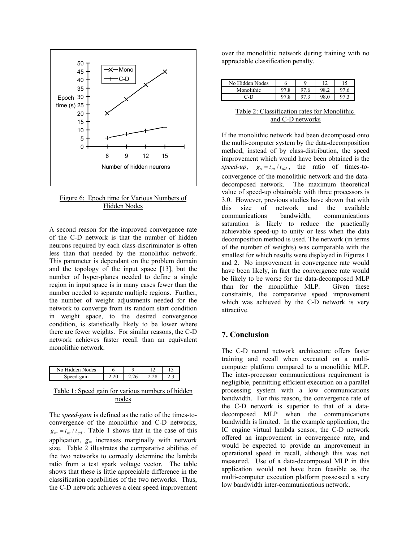

#### Figure 6: Epoch time for Various Numbers of Hidden Nodes

A second reason for the improved convergence rate of the C-D network is that the number of hidden neurons required by each class-discriminator is often less than that needed by the monolithic network. This parameter is dependant on the problem domain and the topology of the input space [13], but the number of hyper-planes needed to define a single region in input space is in many cases fewer than the number needed to separate multiple regions. Further, the number of weight adjustments needed for the network to converge from its random start condition in weight space, to the desired convergence condition, is statistically likely to be lower where there are fewer weights. For similar reasons, the C-D network achieves faster recall than an equivalent monolithic network.

| <b>odes</b><br>N٥<br>den | с | u   |      |   |
|--------------------------|---|-----|------|---|
| gain                     |   | .∠∪ | 0 ک. | . |

## Table 1: Speed gain for various numbers of hidden nodes

The *speed-gain* is defined as the ratio of the times-toconvergence of the monolithic and C-D networks,  $g_m = t_m / t_{cd}$ . Table 1 shows that in the case of this application,  $g_m$  increases marginally with network size. Table 2 illustrates the comparative abilities of the two networks to correctly determine the lambda ratio from a test spark voltage vector. The table shows that these is little appreciable difference in the classification capabilities of the two networks. Thus, the C-D network achieves a clear speed improvement over the monolithic network during training with no appreciable classification penalty.

| No Hidden Nodes |  | $1^{\circ}$ |  |
|-----------------|--|-------------|--|
| Monolithic      |  |             |  |
| ת-              |  |             |  |

#### Table 2: Classification rates for Monolithic and C-D networks

If the monolithic network had been decomposed onto the multi-computer system by the data-decomposition method, instead of by class-distribution, the speed improvement which would have been obtained is the *speed-up*,  $g_s = t_m / t_{dd}$ , the ratio of times-toconvergence of the monolithic network and the datadecomposed network. The maximum theoretical value of speed-up obtainable with three processors is 3.0. However, previous studies have shown that with this size of network and the available communications bandwidth, communications saturation is likely to reduce the practically achievable speed-up to unity or less when the data decomposition method is used. The network (in terms of the number of weights) was comparable with the smallest for which results were displayed in Figures 1 and 2. No improvement in convergence rate would have been likely, in fact the convergence rate would be likely to be worse for the data-decomposed MLP than for the monolithic MLP. Given these constraints, the comparative speed improvement which was achieved by the C-D network is very attractive.

# **7. Conclusion**

The C-D neural network architecture offers faster training and recall when executed on a multicomputer platform compared to a monolithic MLP. The inter-processor communications requirement is negligible, permitting efficient execution on a parallel processing system with a low communications bandwidth. For this reason, the convergence rate of the C-D network is superior to that of a datadecomposed MLP when the communications bandwidth is limited. In the example application, the IC engine virtual lambda sensor, the C-D network offered an improvement in convergence rate, and would be expected to provide an improvement in operational speed in recall, although this was not measured. Use of a data-decomposed MLP in this application would not have been feasible as the multi-computer execution platform possessed a very low bandwidth inter-communications network.